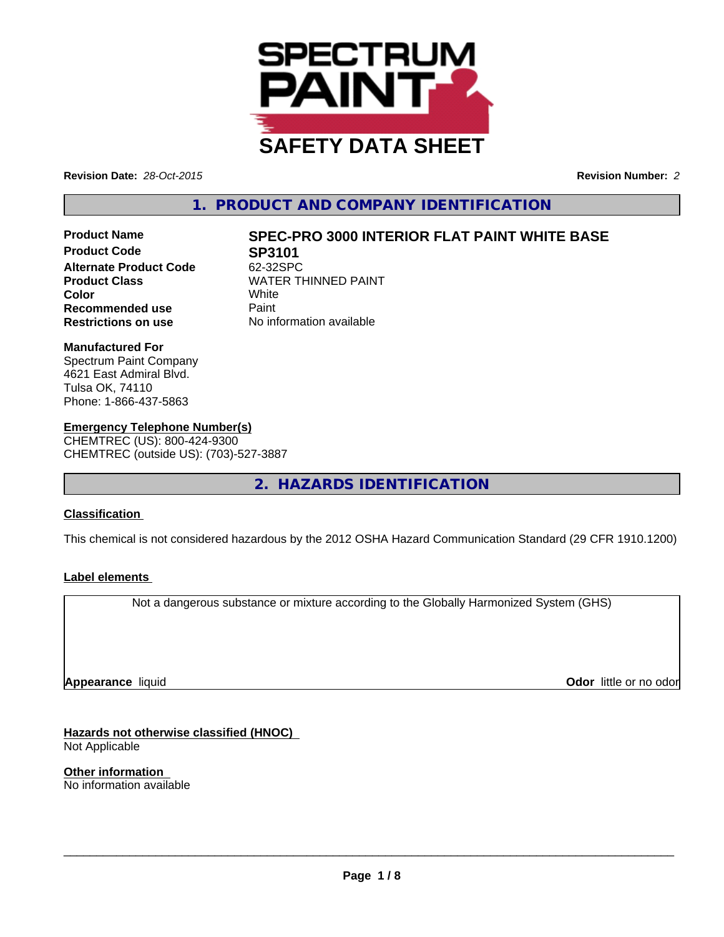

**Revision Date:** *28-Oct-2015* **Revision Number:** *2*

# **1. PRODUCT AND COMPANY IDENTIFICATION**

**Product Code 62-325PC**<br>Alternate Product Code 62-32SPC **Alternate Product Code Recommended use** Paint **Restrictions on use** No information available

# **Product Name SPEC-PRO 3000 INTERIOR FLAT PAINT WHITE BASE**

**Product Class** WATER THINNED PAINT<br> **Color** White **Color** White

#### **Manufactured For**

Spectrum Paint Company 4621 East Admiral Blvd. Tulsa OK, 74110 Phone: 1-866-437-5863

# **Emergency Telephone Number(s)**

CHEMTREC (US): 800-424-9300 CHEMTREC (outside US): (703)-527-3887

**2. HAZARDS IDENTIFICATION**

# **Classification**

This chemical is not considered hazardous by the 2012 OSHA Hazard Communication Standard (29 CFR 1910.1200)

### **Label elements**

Not a dangerous substance or mixture according to the Globally Harmonized System (GHS)

**Appearance** liquid

**Odor** little or no odor

**Hazards not otherwise classified (HNOC)** Not Applicable

**Other information** No information available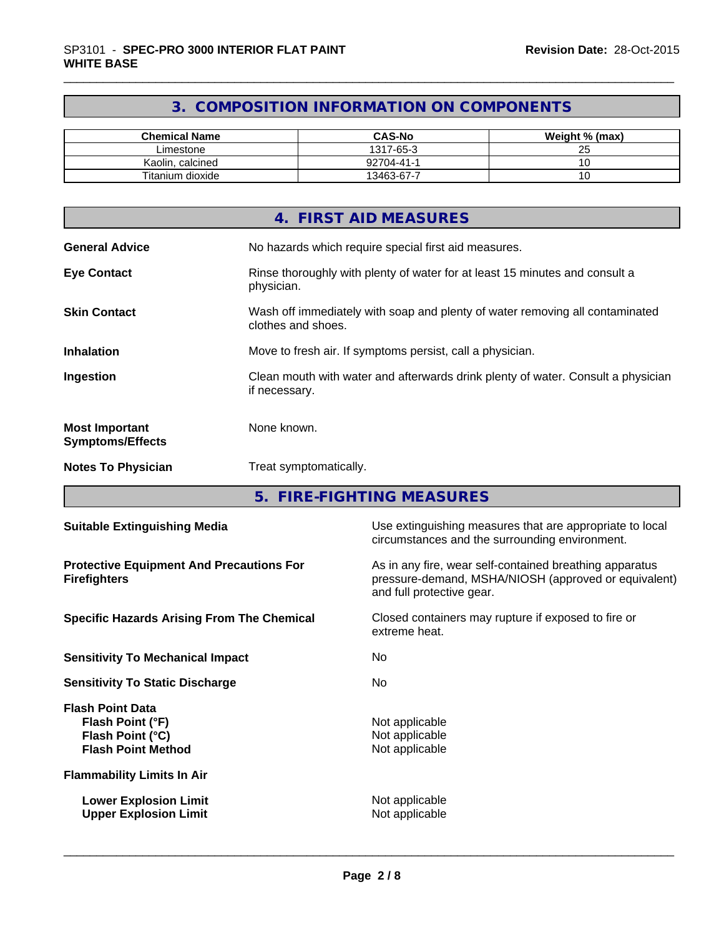# **3. COMPOSITION INFORMATION ON COMPONENTS**

| <b>Chemical Name</b> | <b>CAS-No</b> | Weight % (max)      |
|----------------------|---------------|---------------------|
| Limestone            | 1317-65-3     | $\sim$ $\sim$<br>Lu |
| Kaolin, calcined     | 92704-41-1    |                     |
| Titanium dioxide     | 13463-67-7    |                     |

|                                                  | 4. FIRST AID MEASURES                                                                              |
|--------------------------------------------------|----------------------------------------------------------------------------------------------------|
| <b>General Advice</b>                            | No hazards which require special first aid measures.                                               |
| <b>Eye Contact</b>                               | Rinse thoroughly with plenty of water for at least 15 minutes and consult a<br>physician.          |
| <b>Skin Contact</b>                              | Wash off immediately with soap and plenty of water removing all contaminated<br>clothes and shoes. |
| <b>Inhalation</b>                                | Move to fresh air. If symptoms persist, call a physician.                                          |
| Ingestion                                        | Clean mouth with water and afterwards drink plenty of water. Consult a physician<br>if necessary.  |
| <b>Most Important</b><br><b>Symptoms/Effects</b> | None known.                                                                                        |
| <b>Notes To Physician</b>                        | Treat symptomatically.                                                                             |

**5. FIRE-FIGHTING MEASURES**

| <b>Suitable Extinguishing Media</b>                                                          | Use extinguishing measures that are appropriate to local<br>circumstances and the surrounding environment.                                   |
|----------------------------------------------------------------------------------------------|----------------------------------------------------------------------------------------------------------------------------------------------|
| <b>Protective Equipment And Precautions For</b><br><b>Firefighters</b>                       | As in any fire, wear self-contained breathing apparatus<br>pressure-demand, MSHA/NIOSH (approved or equivalent)<br>and full protective gear. |
| <b>Specific Hazards Arising From The Chemical</b>                                            | Closed containers may rupture if exposed to fire or<br>extreme heat.                                                                         |
| <b>Sensitivity To Mechanical Impact</b>                                                      | No.                                                                                                                                          |
| <b>Sensitivity To Static Discharge</b>                                                       | No.                                                                                                                                          |
| <b>Flash Point Data</b><br>Flash Point (°F)<br>Flash Point (°C)<br><b>Flash Point Method</b> | Not applicable<br>Not applicable<br>Not applicable                                                                                           |
| <b>Flammability Limits In Air</b>                                                            |                                                                                                                                              |
| <b>Lower Explosion Limit</b><br><b>Upper Explosion Limit</b>                                 | Not applicable<br>Not applicable                                                                                                             |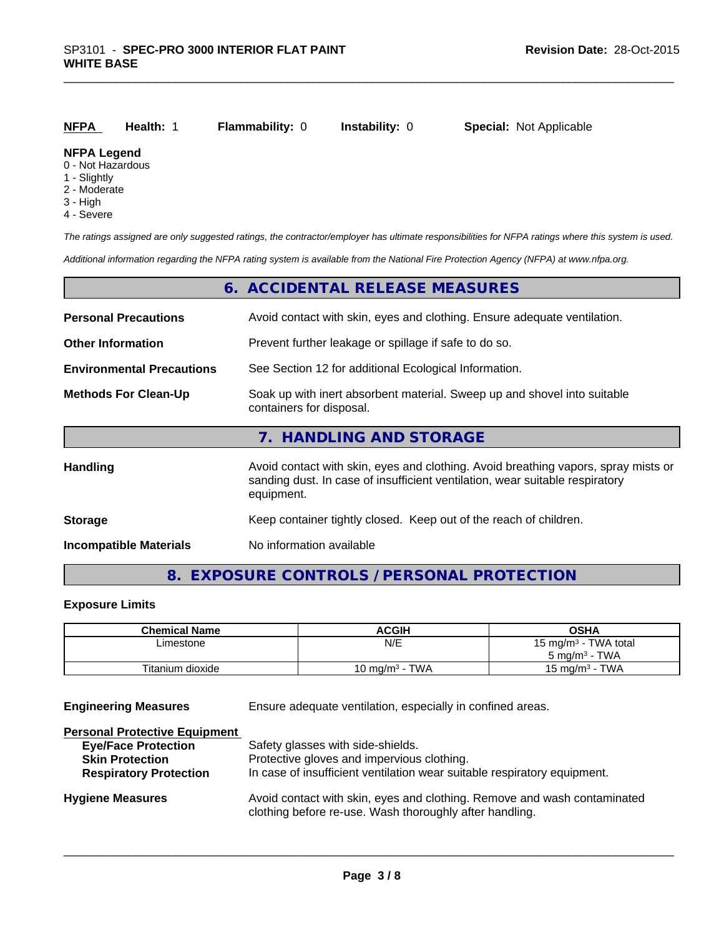| NFPA                                  | <b>Health: 1</b> | <b>Flammability: 0</b> | <b>Instability:</b> 0 | <b>Special:</b> Not Applicable |
|---------------------------------------|------------------|------------------------|-----------------------|--------------------------------|
| <b>NFPA Legend</b><br>0 Not Hozardous |                  |                        |                       |                                |

- 0 Not Hazardous
- 1 Slightly
- 2 Moderate
- 3 High
- 4 Severe

*The ratings assigned are only suggested ratings, the contractor/employer has ultimate responsibilities for NFPA ratings where this system is used.*

*Additional information regarding the NFPA rating system is available from the National Fire Protection Agency (NFPA) at www.nfpa.org.*

|                                  | 6. ACCIDENTAL RELEASE MEASURES                                                                                                                                                   |
|----------------------------------|----------------------------------------------------------------------------------------------------------------------------------------------------------------------------------|
| <b>Personal Precautions</b>      | Avoid contact with skin, eyes and clothing. Ensure adequate ventilation.                                                                                                         |
| <b>Other Information</b>         | Prevent further leakage or spillage if safe to do so.                                                                                                                            |
| <b>Environmental Precautions</b> | See Section 12 for additional Ecological Information.                                                                                                                            |
| <b>Methods For Clean-Up</b>      | Soak up with inert absorbent material. Sweep up and shovel into suitable<br>containers for disposal.                                                                             |
|                                  | 7. HANDLING AND STORAGE                                                                                                                                                          |
| Handling                         | Avoid contact with skin, eyes and clothing. Avoid breathing vapors, spray mists or<br>sanding dust. In case of insufficient ventilation, wear suitable respiratory<br>equipment. |
| <b>Storage</b>                   | Keep container tightly closed. Keep out of the reach of children.                                                                                                                |
| <b>Incompatible Materials</b>    | No information available                                                                                                                                                         |

# **8. EXPOSURE CONTROLS / PERSONAL PROTECTION**

# **Exposure Limits**

| <b>Chemical Name</b> | <b>ACGIH</b>      | OSHA                             |
|----------------------|-------------------|----------------------------------|
| ∟imestone            | N/E               | 15 mg/m <sup>3</sup> - TWA total |
|                      |                   | $5 \text{ ma/m}^3$ - TWA         |
| Titanium dioxide     | 10 mg/m $3$ - TWA | 15 mg/m $3$ - TWA                |

**Engineering Measures** Ensure adequate ventilation, especially in confined areas.

| Safety glasses with side-shields.                                                                                                   |
|-------------------------------------------------------------------------------------------------------------------------------------|
| Protective gloves and impervious clothing.                                                                                          |
| In case of insufficient ventilation wear suitable respiratory equipment.                                                            |
| Avoid contact with skin, eyes and clothing. Remove and wash contaminated<br>clothing before re-use. Wash thoroughly after handling. |
|                                                                                                                                     |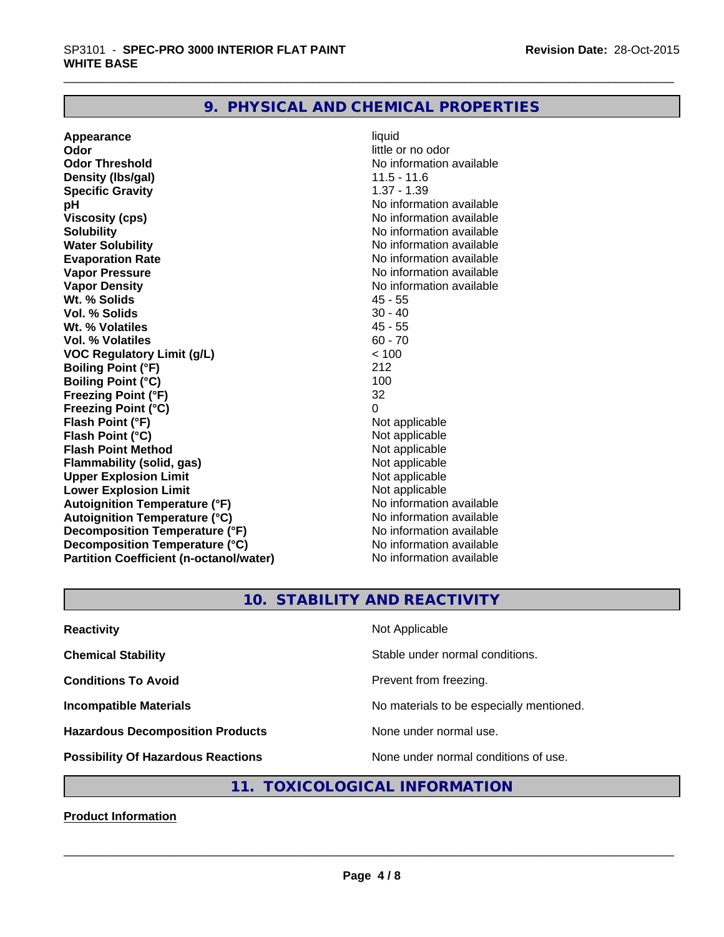# **9. PHYSICAL AND CHEMICAL PROPERTIES**

**Appearance** liquid **Odor Odor** little or no odor<br> **Odor Threshold Containery of the Containery of the Containery of the Containery of the Containery of the Containery of the Containery of the Containery of the Containery of the Container Density (lbs/gal)** 11.5 - 11.6 **Specific Gravity** 1.37 - 1.39 **pH** No information available **Viscosity (cps)** No information available **Solubility Note 2008 Note 2008 Note 2008 Note 2008 Note 2008 Note 2008 Note 2008 Note 2008 Note 2008 Note 2008 Note 2008 Note 2008 Note 2008 Note 2008 Note 2008 Note 2008 Note 2008 Note Water Solubility No information available No information available Evaporation Rate No information available** Vapor Pressure **No information available** Vapor Pressure **Vapor Density**<br> **We Solids**<br>
We Solids
2019<br>
We Note that the Solid A5 - 55 **Wt. % Solids** 45 - 55 **Vol. % Solids** 30 - 40<br> **Wt. % Volatiles** 45 - 55 **Wt. % Volatiles Vol. % Volatiles** 60 - 70<br> **VOC Requiatory Limit (q/L)** 60 - 70 **VOC** Regulatory Limit (g/L)  $\times$  10<br>Boiling Point (°F) 212 **Boiling Point (°F) Boiling Point (°C)** 100<br> **Preezing Point (°F)** 32 **Freezing Point (°F) Freezing Point (°C)** 0 **Flash Point (°F)**<br> **Flash Point (°C)**<br> **Flash Point (°C)**<br> **C Flash Point (°C)**<br> **Flash Point Method Contract Contract Contract Contract Contract Contract Contract Contract Contract Contract Contract Contract Contract Contract Contract Contract Contract Contract Contract Contract Flash Point Method**<br> **Flammability (solid, gas)** Not applicable Not applicable **Flammability (solid, gas)** Not applicable<br> **Upper Explosion Limit** Not applicable **Upper Explosion Limit Lower Explosion Limit Contract Accord Accord Accord Accord Accord Accord Accord Accord Accord Accord Accord Accord Accord Accord Accord Accord Accord Accord Accord Accord Accord Accord Accord Accord Accord Accord Accord Autoignition Temperature (°F)**<br> **Autoignition Temperature (°C)** No information available **Autoignition Temperature (°C) Decomposition Temperature (°F)** No information available **Decomposition Temperature (°C)** No information available<br> **Partition Coefficient (n-octanol/water)** No information available **Partition Coefficient (n-octanol/water)** 

**No information available No information available** 

# **10. STABILITY AND REACTIVITY**

| <b>Reactivity</b>                         | Not Applicable                           |
|-------------------------------------------|------------------------------------------|
| <b>Chemical Stability</b>                 | Stable under normal conditions.          |
| <b>Conditions To Avoid</b>                | Prevent from freezing.                   |
| <b>Incompatible Materials</b>             | No materials to be especially mentioned. |
| <b>Hazardous Decomposition Products</b>   | None under normal use.                   |
| <b>Possibility Of Hazardous Reactions</b> | None under normal conditions of use.     |

# **11. TOXICOLOGICAL INFORMATION**

**Product Information**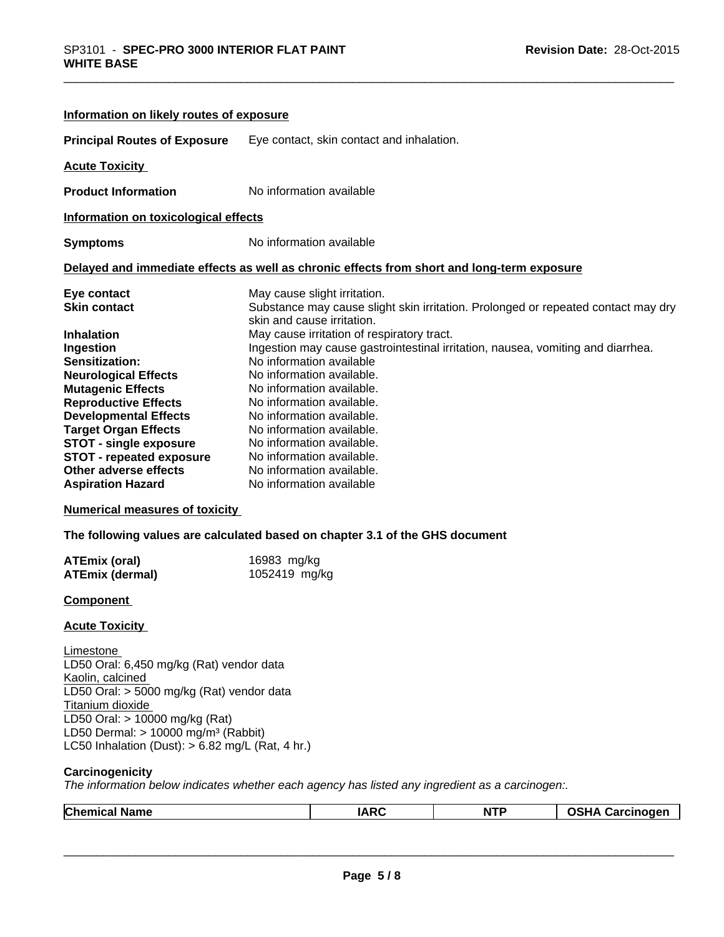| Information on likely routes of exposure                                                                                                                                                                                                                                                                                                                                        |                                                                                                                                                                                                                                                                                                                                                                                                                                                                                                                                                                                  |
|---------------------------------------------------------------------------------------------------------------------------------------------------------------------------------------------------------------------------------------------------------------------------------------------------------------------------------------------------------------------------------|----------------------------------------------------------------------------------------------------------------------------------------------------------------------------------------------------------------------------------------------------------------------------------------------------------------------------------------------------------------------------------------------------------------------------------------------------------------------------------------------------------------------------------------------------------------------------------|
| <b>Principal Routes of Exposure</b>                                                                                                                                                                                                                                                                                                                                             | Eye contact, skin contact and inhalation.                                                                                                                                                                                                                                                                                                                                                                                                                                                                                                                                        |
| <b>Acute Toxicity</b>                                                                                                                                                                                                                                                                                                                                                           |                                                                                                                                                                                                                                                                                                                                                                                                                                                                                                                                                                                  |
| <b>Product Information</b>                                                                                                                                                                                                                                                                                                                                                      | No information available                                                                                                                                                                                                                                                                                                                                                                                                                                                                                                                                                         |
| Information on toxicological effects                                                                                                                                                                                                                                                                                                                                            |                                                                                                                                                                                                                                                                                                                                                                                                                                                                                                                                                                                  |
| <b>Symptoms</b>                                                                                                                                                                                                                                                                                                                                                                 | No information available                                                                                                                                                                                                                                                                                                                                                                                                                                                                                                                                                         |
|                                                                                                                                                                                                                                                                                                                                                                                 | Delayed and immediate effects as well as chronic effects from short and long-term exposure                                                                                                                                                                                                                                                                                                                                                                                                                                                                                       |
| Eye contact<br><b>Skin contact</b><br><b>Inhalation</b><br>Ingestion<br><b>Sensitization:</b><br><b>Neurological Effects</b><br><b>Mutagenic Effects</b><br><b>Reproductive Effects</b><br><b>Developmental Effects</b><br><b>Target Organ Effects</b><br><b>STOT - single exposure</b><br><b>STOT - repeated exposure</b><br>Other adverse effects<br><b>Aspiration Hazard</b> | May cause slight irritation.<br>Substance may cause slight skin irritation. Prolonged or repeated contact may dry<br>skin and cause irritation.<br>May cause irritation of respiratory tract.<br>Ingestion may cause gastrointestinal irritation, nausea, vomiting and diarrhea.<br>No information available<br>No information available.<br>No information available.<br>No information available.<br>No information available.<br>No information available.<br>No information available.<br>No information available.<br>No information available.<br>No information available |
| <b>Numerical measures of toxicity</b>                                                                                                                                                                                                                                                                                                                                           |                                                                                                                                                                                                                                                                                                                                                                                                                                                                                                                                                                                  |
| <b>ATEmix (oral)</b>                                                                                                                                                                                                                                                                                                                                                            | The following values are calculated based on chapter 3.1 of the GHS document<br>16983 mg/kg                                                                                                                                                                                                                                                                                                                                                                                                                                                                                      |
| <b>ATEmix (dermal)</b>                                                                                                                                                                                                                                                                                                                                                          | 1052419 mg/kg                                                                                                                                                                                                                                                                                                                                                                                                                                                                                                                                                                    |
| Component                                                                                                                                                                                                                                                                                                                                                                       |                                                                                                                                                                                                                                                                                                                                                                                                                                                                                                                                                                                  |
| <b>Acute Toxicity</b>                                                                                                                                                                                                                                                                                                                                                           |                                                                                                                                                                                                                                                                                                                                                                                                                                                                                                                                                                                  |
| Limestone<br>LD50 Oral: 6,450 mg/kg (Rat) vendor data<br>Kaolin, calcined<br>LD50 Oral: > 5000 mg/kg (Rat) vendor data<br>Titanium dioxide<br>LD50 Oral: > 10000 mg/kg (Rat)<br>LD50 Dermal: $> 10000$ mg/m <sup>3</sup> (Rabbit)                                                                                                                                               |                                                                                                                                                                                                                                                                                                                                                                                                                                                                                                                                                                                  |

LC50 Inhalation (Dust): > 6.82 mg/L (Rat, 4 hr.)

#### **Carcinogenicity**

*The information below indicateswhether each agency has listed any ingredient as a carcinogen:.*

| $\sim$<br>ame<br>. .<br>u mer | $I\Delta R$ | .<br>N | - -- - --<br>.<br>.<br>$\overline{\phantom{a}}$ |
|-------------------------------|-------------|--------|-------------------------------------------------|
|                               |             |        |                                                 |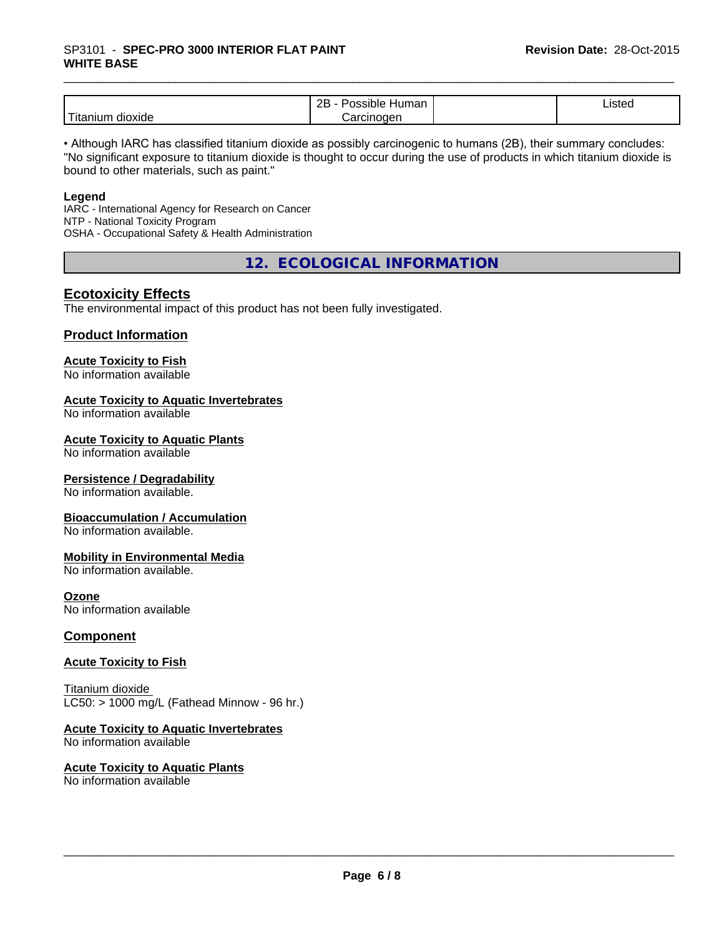# \_\_\_\_\_\_\_\_\_\_\_\_\_\_\_\_\_\_\_\_\_\_\_\_\_\_\_\_\_\_\_\_\_\_\_\_\_\_\_\_\_\_\_\_\_\_\_\_\_\_\_\_\_\_\_\_\_\_\_\_\_\_\_\_\_\_\_\_\_\_\_\_\_\_\_\_\_\_\_\_\_\_\_\_\_\_\_\_\_\_\_\_\_ SP3101 - **SPEC-PRO <sup>3000</sup> INTERIOR FLAT PAINT WHITE BASE**

|                           | ם ה<br>Humar<br>.<br>DIE<br>мπ<br>∼ | $\overline{\phantom{a}}$<br>Listed |  |
|---------------------------|-------------------------------------|------------------------------------|--|
| .<br>dioxide<br>l itanıun | arcinoqen<br>ہر                     |                                    |  |

• Although IARC has classified titanium dioxide as possibly carcinogenic to humans (2B), their summary concludes: "No significant exposure to titanium dioxide is thought to occur during the use of products in which titanium dioxide is bound to other materials, such as paint."

#### **Legend**

IARC - International Agency for Research on Cancer NTP - National Toxicity Program OSHA - Occupational Safety & Health Administration

**12. ECOLOGICAL INFORMATION**

## **Ecotoxicity Effects**

The environmental impact of this product has not been fully investigated.

### **Product Information**

#### **Acute Toxicity to Fish**

No information available

#### **Acute Toxicity to Aquatic Invertebrates**

No information available

#### **Acute Toxicity to Aquatic Plants**

No information available

#### **Persistence / Degradability**

No information available.

#### **Bioaccumulation / Accumulation**

No information available.

#### **Mobility in Environmental Media**

No information available.

#### **Ozone**

No information available

### **Component**

#### **Acute Toxicity to Fish**

Titanium dioxide  $LC50:$  > 1000 mg/L (Fathead Minnow - 96 hr.)

# **Acute Toxicity to Aquatic Invertebrates**

No information available

#### **Acute Toxicity to Aquatic Plants** No information available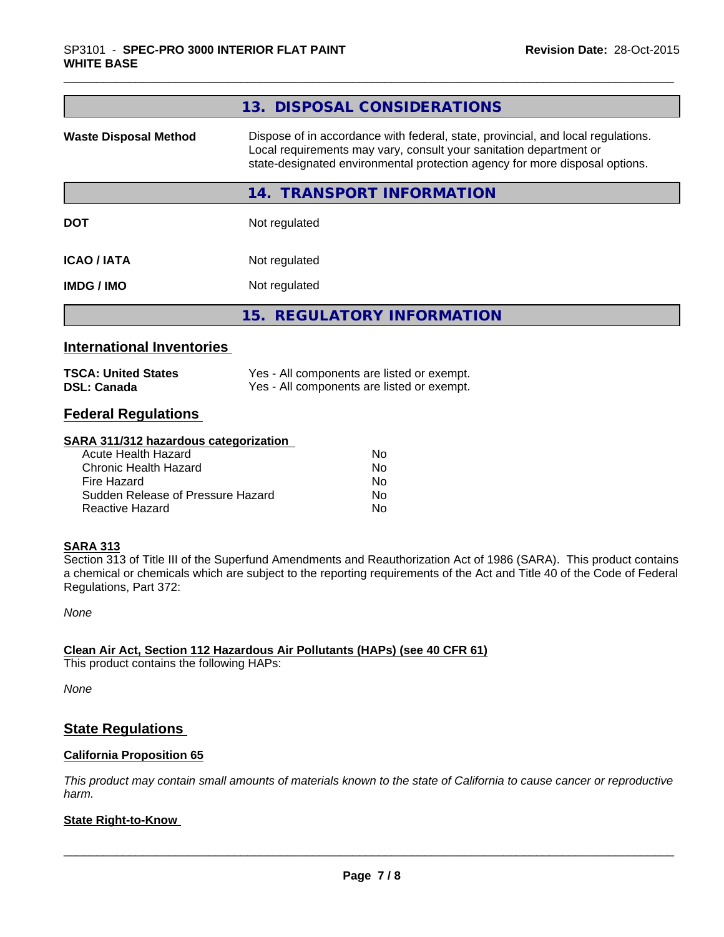|                                                  | 13. DISPOSAL CONSIDERATIONS                                                                                                                                                                                                           |
|--------------------------------------------------|---------------------------------------------------------------------------------------------------------------------------------------------------------------------------------------------------------------------------------------|
| <b>Waste Disposal Method</b>                     | Dispose of in accordance with federal, state, provincial, and local regulations.<br>Local requirements may vary, consult your sanitation department or<br>state-designated environmental protection agency for more disposal options. |
|                                                  | 14. TRANSPORT INFORMATION                                                                                                                                                                                                             |
| <b>DOT</b>                                       | Not regulated                                                                                                                                                                                                                         |
| <b>ICAO / IATA</b>                               | Not regulated                                                                                                                                                                                                                         |
| <b>IMDG / IMO</b>                                | Not regulated                                                                                                                                                                                                                         |
|                                                  | 15. REGULATORY INFORMATION                                                                                                                                                                                                            |
| <b>International Inventories</b>                 |                                                                                                                                                                                                                                       |
| <b>TSCA: United States</b><br><b>DSL: Canada</b> | Yes - All components are listed or exempt.<br>Yes - All components are listed or exempt.                                                                                                                                              |

# **Federal Regulations**

#### **SARA 311/312 hazardous categorization**

| Acute Health Hazard               | No. |
|-----------------------------------|-----|
| Chronic Health Hazard             | No. |
| Fire Hazard                       | N٥  |
| Sudden Release of Pressure Hazard | Nο  |
| Reactive Hazard                   | N٥  |

## **SARA 313**

Section 313 of Title III of the Superfund Amendments and Reauthorization Act of 1986 (SARA). This product contains a chemical or chemicals which are subject to the reporting requirements of the Act and Title 40 of the Code of Federal Regulations, Part 372:

*None*

#### **Clean Air Act,Section 112 Hazardous Air Pollutants (HAPs) (see 40 CFR 61)**

This product contains the following HAPs:

*None*

# **State Regulations**

### **California Proposition 65**

This product may contain small amounts of materials known to the state of California to cause cancer or reproductive *harm.*

## **State Right-to-Know**